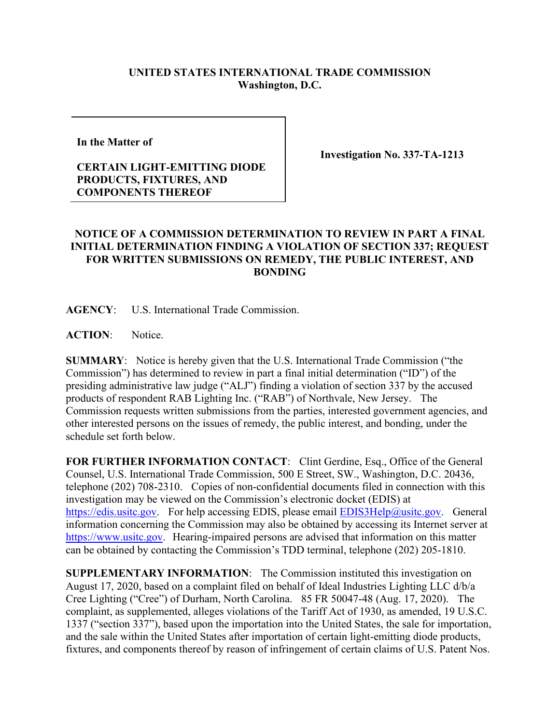## **UNITED STATES INTERNATIONAL TRADE COMMISSION Washington, D.C.**

**In the Matter of** 

## **CERTAIN LIGHT-EMITTING DIODE PRODUCTS, FIXTURES, AND COMPONENTS THEREOF**

**Investigation No. 337-TA-1213**

## **NOTICE OF A COMMISSION DETERMINATION TO REVIEW IN PART A FINAL INITIAL DETERMINATION FINDING A VIOLATION OF SECTION 337; REQUEST FOR WRITTEN SUBMISSIONS ON REMEDY, THE PUBLIC INTEREST, AND BONDING**

**AGENCY**: U.S. International Trade Commission.

**ACTION**: Notice.

**SUMMARY**: Notice is hereby given that the U.S. International Trade Commission ("the Commission") has determined to review in part a final initial determination ("ID") of the presiding administrative law judge ("ALJ") finding a violation of section 337 by the accused products of respondent RAB Lighting Inc. ("RAB") of Northvale, New Jersey. The Commission requests written submissions from the parties, interested government agencies, and other interested persons on the issues of remedy, the public interest, and bonding, under the schedule set forth below.

**FOR FURTHER INFORMATION CONTACT**: Clint Gerdine, Esq., Office of the General Counsel, U.S. International Trade Commission, 500 E Street, SW., Washington, D.C. 20436, telephone (202) 708-2310. Copies of non-confidential documents filed in connection with this investigation may be viewed on the Commission's electronic docket (EDIS) at [https://edis.usitc.gov.](https://edis.usitc.gov/) For help accessing EDIS, please email [EDIS3Help@usitc.gov.](mailto:EDIS3Help@usitc.gov) General information concerning the Commission may also be obtained by accessing its Internet server at [https://www.usitc.gov.](https://www.usitc.gov/) Hearing-impaired persons are advised that information on this matter can be obtained by contacting the Commission's TDD terminal, telephone (202) 205-1810.

**SUPPLEMENTARY INFORMATION**: The Commission instituted this investigation on August 17, 2020, based on a complaint filed on behalf of Ideal Industries Lighting LLC d/b/a Cree Lighting ("Cree") of Durham, North Carolina. 85 FR 50047-48 (Aug. 17, 2020). The complaint, as supplemented, alleges violations of the Tariff Act of 1930, as amended, 19 U.S.C. 1337 ("section 337"), based upon the importation into the United States, the sale for importation, and the sale within the United States after importation of certain light-emitting diode products, fixtures, and components thereof by reason of infringement of certain claims of U.S. Patent Nos.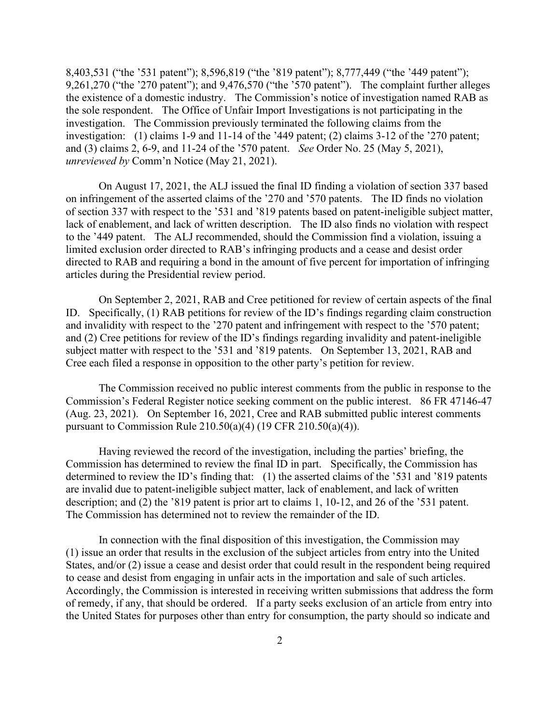8,403,531 ("the '531 patent"); 8,596,819 ("the '819 patent"); 8,777,449 ("the '449 patent"); 9,261,270 ("the '270 patent"); and 9,476,570 ("the '570 patent"). The complaint further alleges the existence of a domestic industry. The Commission's notice of investigation named RAB as the sole respondent. The Office of Unfair Import Investigations is not participating in the investigation. The Commission previously terminated the following claims from the investigation: (1) claims 1-9 and 11-14 of the '449 patent; (2) claims 3-12 of the '270 patent; and (3) claims 2, 6-9, and 11-24 of the '570 patent. *See* Order No. 25 (May 5, 2021), *unreviewed by* Comm'n Notice (May 21, 2021).

On August 17, 2021, the ALJ issued the final ID finding a violation of section 337 based on infringement of the asserted claims of the '270 and '570 patents. The ID finds no violation of section 337 with respect to the '531 and '819 patents based on patent-ineligible subject matter, lack of enablement, and lack of written description. The ID also finds no violation with respect to the '449 patent. The ALJ recommended, should the Commission find a violation, issuing a limited exclusion order directed to RAB's infringing products and a cease and desist order directed to RAB and requiring a bond in the amount of five percent for importation of infringing articles during the Presidential review period.

On September 2, 2021, RAB and Cree petitioned for review of certain aspects of the final ID. Specifically, (1) RAB petitions for review of the ID's findings regarding claim construction and invalidity with respect to the '270 patent and infringement with respect to the '570 patent; and (2) Cree petitions for review of the ID's findings regarding invalidity and patent-ineligible subject matter with respect to the '531 and '819 patents. On September 13, 2021, RAB and Cree each filed a response in opposition to the other party's petition for review.

The Commission received no public interest comments from the public in response to the Commission's Federal Register notice seeking comment on the public interest. 86 FR 47146-47 (Aug. 23, 2021). On September 16, 2021, Cree and RAB submitted public interest comments pursuant to Commission Rule 210.50(a)(4) (19 CFR 210.50(a)(4)).

Having reviewed the record of the investigation, including the parties' briefing, the Commission has determined to review the final ID in part. Specifically, the Commission has determined to review the ID's finding that: (1) the asserted claims of the '531 and '819 patents are invalid due to patent-ineligible subject matter, lack of enablement, and lack of written description; and (2) the '819 patent is prior art to claims 1, 10-12, and 26 of the '531 patent. The Commission has determined not to review the remainder of the ID.

In connection with the final disposition of this investigation, the Commission may (1) issue an order that results in the exclusion of the subject articles from entry into the United States, and/or (2) issue a cease and desist order that could result in the respondent being required to cease and desist from engaging in unfair acts in the importation and sale of such articles. Accordingly, the Commission is interested in receiving written submissions that address the form of remedy, if any, that should be ordered. If a party seeks exclusion of an article from entry into the United States for purposes other than entry for consumption, the party should so indicate and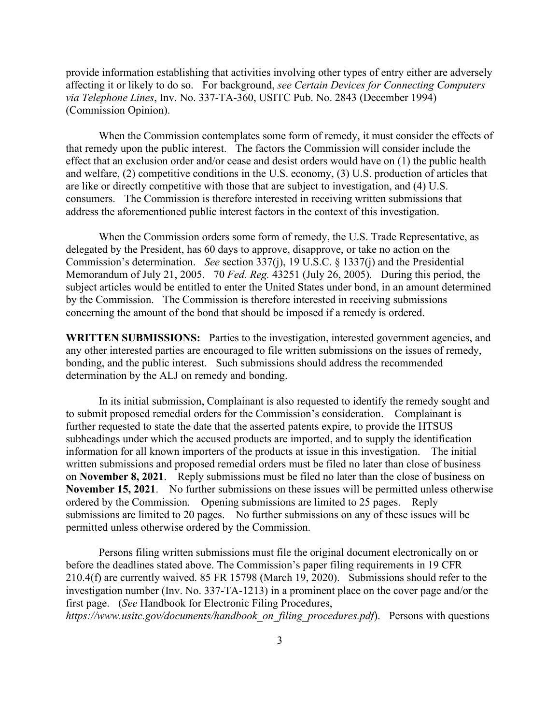provide information establishing that activities involving other types of entry either are adversely affecting it or likely to do so. For background, *see Certain Devices for Connecting Computers via Telephone Lines*, Inv. No. 337-TA-360, USITC Pub. No. 2843 (December 1994) (Commission Opinion).

When the Commission contemplates some form of remedy, it must consider the effects of that remedy upon the public interest. The factors the Commission will consider include the effect that an exclusion order and/or cease and desist orders would have on (1) the public health and welfare, (2) competitive conditions in the U.S. economy, (3) U.S. production of articles that are like or directly competitive with those that are subject to investigation, and (4) U.S. consumers. The Commission is therefore interested in receiving written submissions that address the aforementioned public interest factors in the context of this investigation.

When the Commission orders some form of remedy, the U.S. Trade Representative, as delegated by the President, has 60 days to approve, disapprove, or take no action on the Commission's determination. *See* section 337(j), 19 U.S.C. § 1337(j) and the Presidential Memorandum of July 21, 2005. 70 *Fed. Reg.* 43251 (July 26, 2005). During this period, the subject articles would be entitled to enter the United States under bond, in an amount determined by the Commission. The Commission is therefore interested in receiving submissions concerning the amount of the bond that should be imposed if a remedy is ordered.

WRITTEN SUBMISSIONS: Parties to the investigation, interested government agencies, and any other interested parties are encouraged to file written submissions on the issues of remedy, bonding, and the public interest. Such submissions should address the recommended determination by the ALJ on remedy and bonding.

In its initial submission, Complainant is also requested to identify the remedy sought and to submit proposed remedial orders for the Commission's consideration. Complainant is further requested to state the date that the asserted patents expire, to provide the HTSUS subheadings under which the accused products are imported, and to supply the identification information for all known importers of the products at issue in this investigation. The initial written submissions and proposed remedial orders must be filed no later than close of business on **November 8, 2021**. Reply submissions must be filed no later than the close of business on **November 15, 2021**. No further submissions on these issues will be permitted unless otherwise ordered by the Commission. Opening submissions are limited to 25 pages. Reply submissions are limited to 20 pages. No further submissions on any of these issues will be permitted unless otherwise ordered by the Commission.

Persons filing written submissions must file the original document electronically on or before the deadlines stated above. The Commission's paper filing requirements in 19 CFR 210.4(f) are currently waived. 85 FR 15798 (March 19, 2020). Submissions should refer to the investigation number (Inv. No. 337-TA-1213) in a prominent place on the cover page and/or the first page. (*See* Handbook for Electronic Filing Procedures, *https://www.usitc.gov/documents/handbook\_on\_filing\_procedures.pdf*). Persons with questions